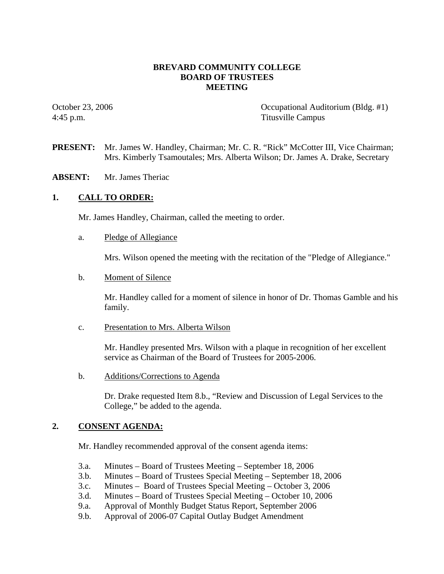# **BREVARD COMMUNITY COLLEGE BOARD OF TRUSTEES MEETING**

October 23, 2006 Cocupational Auditorium (Bldg. #1) 4:45 p.m. Titusville Campus

- **PRESENT:** Mr. James W. Handley, Chairman; Mr. C. R. "Rick" McCotter III, Vice Chairman; Mrs. Kimberly Tsamoutales; Mrs. Alberta Wilson; Dr. James A. Drake, Secretary
- **ABSENT:** Mr. James Theriac

# **1. CALL TO ORDER:**

Mr. James Handley, Chairman, called the meeting to order.

a. Pledge of Allegiance

Mrs. Wilson opened the meeting with the recitation of the "Pledge of Allegiance."

b. Moment of Silence

Mr. Handley called for a moment of silence in honor of Dr. Thomas Gamble and his family.

c. Presentation to Mrs. Alberta Wilson

Mr. Handley presented Mrs. Wilson with a plaque in recognition of her excellent service as Chairman of the Board of Trustees for 2005-2006.

b. Additions/Corrections to Agenda

 Dr. Drake requested Item 8.b., "Review and Discussion of Legal Services to the College," be added to the agenda.

### **2. CONSENT AGENDA:**

Mr. Handley recommended approval of the consent agenda items:

- 3.a. Minutes Board of Trustees Meeting September 18, 2006
- 3.b. Minutes Board of Trustees Special Meeting September 18, 2006
- 3.c. Minutes Board of Trustees Special Meeting October 3, 2006
- 3.d. Minutes Board of Trustees Special Meeting October 10, 2006
- 9.a. Approval of Monthly Budget Status Report, September 2006
- 9.b. Approval of 2006-07 Capital Outlay Budget Amendment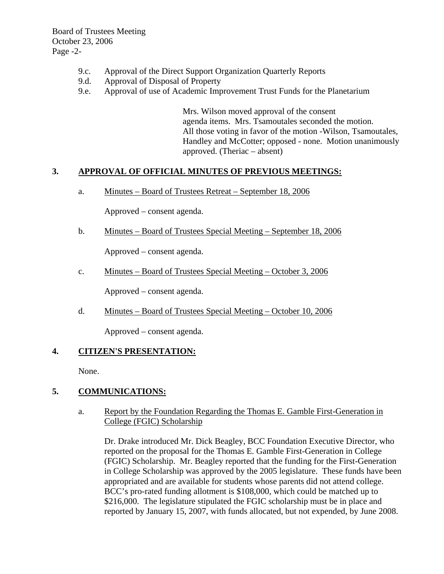Board of Trustees Meeting October 23, 2006 Page -2-

- 9.c. Approval of the Direct Support Organization Quarterly Reports
- 9.d. Approval of Disposal of Property
- 9.e. Approval of use of Academic Improvement Trust Funds for the Planetarium

Mrs. Wilson moved approval of the consent agenda items. Mrs. Tsamoutales seconded the motion. All those voting in favor of the motion -Wilson, Tsamoutales, Handley and McCotter; opposed - none. Motion unanimously approved. (Theriac – absent)

### **3. APPROVAL OF OFFICIAL MINUTES OF PREVIOUS MEETINGS:**

a. Minutes – Board of Trustees Retreat – September 18, 2006

Approved – consent agenda.

b. Minutes – Board of Trustees Special Meeting – September 18, 2006

Approved – consent agenda.

c. Minutes – Board of Trustees Special Meeting – October 3, 2006

Approved – consent agenda.

d. Minutes – Board of Trustees Special Meeting – October 10, 2006

Approved – consent agenda.

### **4. CITIZEN'S PRESENTATION:**

None.

### **5. COMMUNICATIONS:**

### a. Report by the Foundation Regarding the Thomas E. Gamble First-Generation in College (FGIC) Scholarship

Dr. Drake introduced Mr. Dick Beagley, BCC Foundation Executive Director, who reported on the proposal for the Thomas E. Gamble First-Generation in College (FGIC) Scholarship. Mr. Beagley reported that the funding for the First-Generation in College Scholarship was approved by the 2005 legislature. These funds have been appropriated and are available for students whose parents did not attend college. BCC's pro-rated funding allotment is \$108,000, which could be matched up to \$216,000. The legislature stipulated the FGIC scholarship must be in place and reported by January 15, 2007, with funds allocated, but not expended, by June 2008.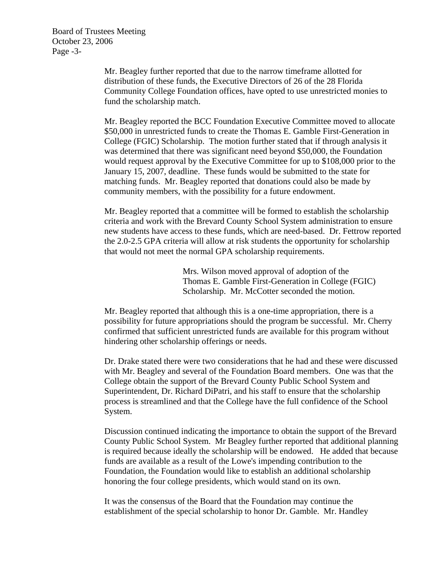Board of Trustees Meeting October 23, 2006 Page -3-

> Mr. Beagley further reported that due to the narrow timeframe allotted for distribution of these funds, the Executive Directors of 26 of the 28 Florida Community College Foundation offices, have opted to use unrestricted monies to fund the scholarship match.

Mr. Beagley reported the BCC Foundation Executive Committee moved to allocate \$50,000 in unrestricted funds to create the Thomas E. Gamble First-Generation in College (FGIC) Scholarship. The motion further stated that if through analysis it was determined that there was significant need beyond \$50,000, the Foundation would request approval by the Executive Committee for up to \$108,000 prior to the January 15, 2007, deadline. These funds would be submitted to the state for matching funds. Mr. Beagley reported that donations could also be made by community members, with the possibility for a future endowment.

Mr. Beagley reported that a committee will be formed to establish the scholarship criteria and work with the Brevard County School System administration to ensure new students have access to these funds, which are need-based. Dr. Fettrow reported the 2.0-2.5 GPA criteria will allow at risk students the opportunity for scholarship that would not meet the normal GPA scholarship requirements.

> Mrs. Wilson moved approval of adoption of the Thomas E. Gamble First-Generation in College (FGIC) Scholarship. Mr. McCotter seconded the motion.

Mr. Beagley reported that although this is a one-time appropriation, there is a possibility for future appropriations should the program be successful. Mr. Cherry confirmed that sufficient unrestricted funds are available for this program without hindering other scholarship offerings or needs.

Dr. Drake stated there were two considerations that he had and these were discussed with Mr. Beagley and several of the Foundation Board members. One was that the College obtain the support of the Brevard County Public School System and Superintendent, Dr. Richard DiPatri, and his staff to ensure that the scholarship process is streamlined and that the College have the full confidence of the School System.

Discussion continued indicating the importance to obtain the support of the Brevard County Public School System. Mr Beagley further reported that additional planning is required because ideally the scholarship will be endowed. He added that because funds are available as a result of the Lowe's impending contribution to the Foundation, the Foundation would like to establish an additional scholarship honoring the four college presidents, which would stand on its own.

It was the consensus of the Board that the Foundation may continue the establishment of the special scholarship to honor Dr. Gamble. Mr. Handley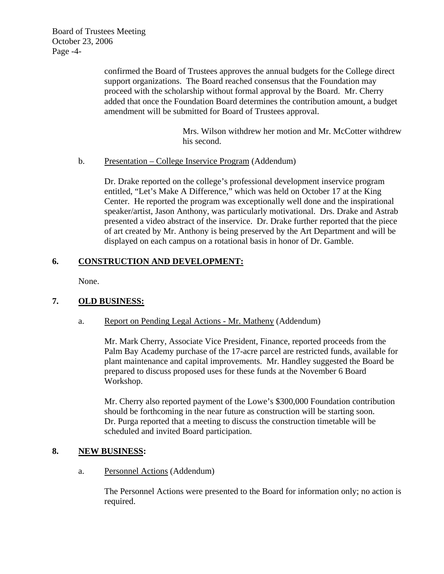Board of Trustees Meeting October 23, 2006 Page -4-

> confirmed the Board of Trustees approves the annual budgets for the College direct support organizations. The Board reached consensus that the Foundation may proceed with the scholarship without formal approval by the Board. Mr. Cherry added that once the Foundation Board determines the contribution amount, a budget amendment will be submitted for Board of Trustees approval.

> > Mrs. Wilson withdrew her motion and Mr. McCotter withdrew his second.

b. Presentation – College Inservice Program (Addendum)

Dr. Drake reported on the college's professional development inservice program entitled, "Let's Make A Difference," which was held on October 17 at the King Center. He reported the program was exceptionally well done and the inspirational speaker/artist, Jason Anthony, was particularly motivational. Drs. Drake and Astrab presented a video abstract of the inservice. Dr. Drake further reported that the piece of art created by Mr. Anthony is being preserved by the Art Department and will be displayed on each campus on a rotational basis in honor of Dr. Gamble.

# **6. CONSTRUCTION AND DEVELOPMENT:**

None.

# **7. OLD BUSINESS:**

# a. Report on Pending Legal Actions - Mr. Matheny (Addendum)

Mr. Mark Cherry, Associate Vice President, Finance, reported proceeds from the Palm Bay Academy purchase of the 17-acre parcel are restricted funds, available for plant maintenance and capital improvements. Mr. Handley suggested the Board be prepared to discuss proposed uses for these funds at the November 6 Board Workshop.

Mr. Cherry also reported payment of the Lowe's \$300,000 Foundation contribution should be forthcoming in the near future as construction will be starting soon. Dr. Purga reported that a meeting to discuss the construction timetable will be scheduled and invited Board participation.

# **8. NEW BUSINESS:**

a. Personnel Actions (Addendum)

The Personnel Actions were presented to the Board for information only; no action is required.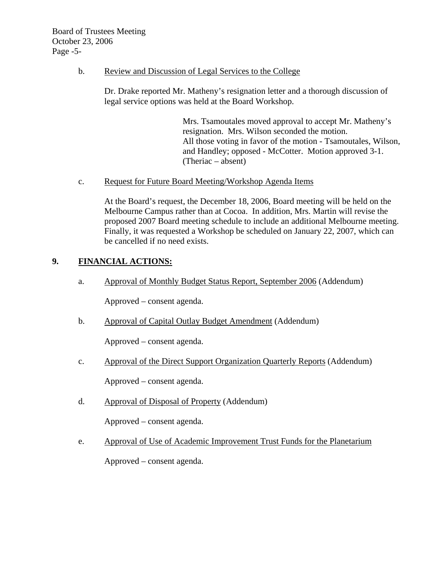# b. Review and Discussion of Legal Services to the College

Dr. Drake reported Mr. Matheny's resignation letter and a thorough discussion of legal service options was held at the Board Workshop.

> Mrs. Tsamoutales moved approval to accept Mr. Matheny's resignation. Mrs. Wilson seconded the motion. All those voting in favor of the motion - Tsamoutales, Wilson, and Handley; opposed - McCotter. Motion approved 3-1. (Theriac – absent)

c. Request for Future Board Meeting/Workshop Agenda Items

At the Board's request, the December 18, 2006, Board meeting will be held on the Melbourne Campus rather than at Cocoa. In addition, Mrs. Martin will revise the proposed 2007 Board meeting schedule to include an additional Melbourne meeting. Finally, it was requested a Workshop be scheduled on January 22, 2007, which can be cancelled if no need exists.

# **9. FINANCIAL ACTIONS:**

a. Approval of Monthly Budget Status Report, September 2006 (Addendum)

Approved – consent agenda.

b. Approval of Capital Outlay Budget Amendment (Addendum)

Approved – consent agenda.

c. Approval of the Direct Support Organization Quarterly Reports (Addendum)

Approved – consent agenda.

d. Approval of Disposal of Property (Addendum)

Approved – consent agenda.

e. Approval of Use of Academic Improvement Trust Funds for the Planetarium

Approved – consent agenda.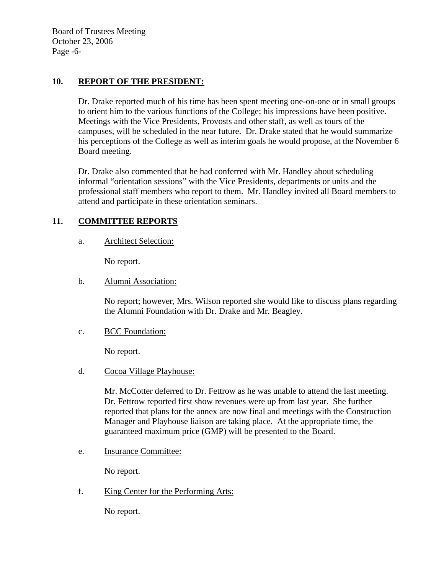Board of Trustees Meeting October 23, 2006 Page -6-

# **10. REPORT OF THE PRESIDENT:**

Dr. Drake reported much of his time has been spent meeting one-on-one or in small groups to orient him to the various functions of the College; his impressions have been positive. Meetings with the Vice Presidents, Provosts and other staff, as well as tours of the campuses, will be scheduled in the near future. Dr. Drake stated that he would summarize his perceptions of the College as well as interim goals he would propose, at the November 6 Board meeting.

Dr. Drake also commented that he had conferred with Mr. Handley about scheduling informal "orientation sessions" with the Vice Presidents, departments or units and the professional staff members who report to them. Mr. Handley invited all Board members to attend and participate in these orientation seminars.

# **11. COMMITTEE REPORTS**

a. Architect Selection:

No report.

# b. Alumni Association:

No report; however, Mrs. Wilson reported she would like to discuss plans regarding the Alumni Foundation with Dr. Drake and Mr. Beagley.

c. BCC Foundation:

No report.

d. Cocoa Village Playhouse:

Mr. McCotter deferred to Dr. Fettrow as he was unable to attend the last meeting. Dr. Fettrow reported first show revenues were up from last year. She further reported that plans for the annex are now final and meetings with the Construction Manager and Playhouse liaison are taking place. At the appropriate time, the guaranteed maximum price (GMP) will be presented to the Board.

e. Insurance Committee:

No report.

f. King Center for the Performing Arts:

No report.